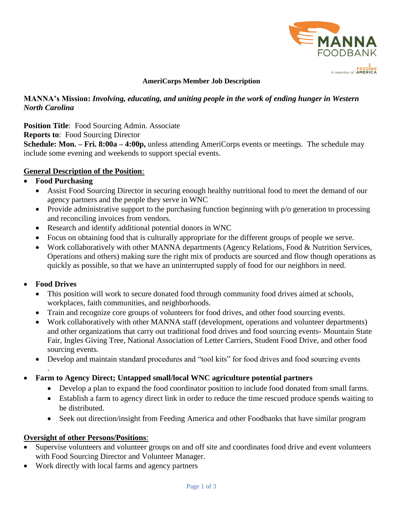

#### **AmeriCorps Member Job Description**

### **MANNA's Mission:** *Involving, educating, and uniting people in the work of ending hunger in Western North Carolina*

**Position Title:** Food Sourcing Admin. Associate

**Reports to**: Food Sourcing Director

**Schedule: Mon. – Fri. 8:00a – 4:00p,** unless attending AmeriCorps events or meetings. The schedule may include some evening and weekends to support special events.

### **General Description of the Position**:

### • **Food Purchasing**

- Assist Food Sourcing Director in securing enough healthy nutritional food to meet the demand of our agency partners and the people they serve in WNC
- Provide administrative support to the purchasing function beginning with  $p/o$  generation to processing and reconciling invoices from vendors.
- Research and identify additional potential donors in WNC
- Focus on obtaining food that is culturally appropriate for the different groups of people we serve.
- Work collaboratively with other MANNA departments (Agency Relations, Food & Nutrition Services, Operations and others) making sure the right mix of products are sourced and flow though operations as quickly as possible, so that we have an uninterrupted supply of food for our neighbors in need.

# • **Food Drives**

.

- This position will work to secure donated food through community food drives aimed at schools, workplaces, faith communities, and neighborhoods.
- Train and recognize core groups of volunteers for food drives, and other food sourcing events.
- Work collaboratively with other MANNA staff (development, operations and volunteer departments) and other organizations that carry out traditional food drives and food sourcing events- Mountain State Fair, Ingles Giving Tree, National Association of Letter Carriers, Student Food Drive, and other food sourcing events.
- Develop and maintain standard procedures and "tool kits" for food drives and food sourcing events
- **Farm to Agency Direct; Untapped small/local WNC agriculture potential partners**
	- Develop a plan to expand the food coordinator position to include food donated from small farms.
	- Establish a farm to agency direct link in order to reduce the time rescued produce spends waiting to be distributed.
	- Seek out direction/insight from Feeding America and other Foodbanks that have similar program

### **Oversight of other Persons/Positions**:

- Supervise volunteers and volunteer groups on and off site and coordinates food drive and event volunteers with Food Sourcing Director and Volunteer Manager.
- Work directly with local farms and agency partners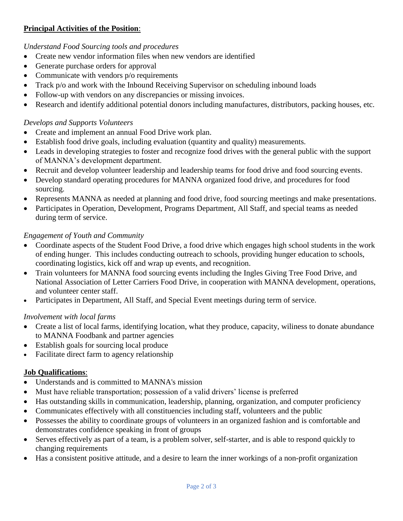# **Principal Activities of the Position**:

### *Understand Food Sourcing tools and procedures*

- Create new vendor information files when new vendors are identified
- Generate purchase orders for approval
- Communicate with vendors p/o requirements
- Track p/o and work with the Inbound Receiving Supervisor on scheduling inbound loads
- Follow-up with vendors on any discrepancies or missing invoices.
- Research and identify additional potential donors including manufactures, distributors, packing houses, etc.

### *Develops and Supports Volunteers*

- Create and implement an annual Food Drive work plan.
- Establish food drive goals, including evaluation (quantity and quality) measurements.
- Leads in developing strategies to foster and recognize food drives with the general public with the support of MANNA's development department.
- Recruit and develop volunteer leadership and leadership teams for food drive and food sourcing events.
- Develop standard operating procedures for MANNA organized food drive, and procedures for food sourcing.
- Represents MANNA as needed at planning and food drive, food sourcing meetings and make presentations.
- Participates in Operation, Development, Programs Department, All Staff, and special teams as needed during term of service.

### *Engagement of Youth and Community*

- Coordinate aspects of the Student Food Drive, a food drive which engages high school students in the work of ending hunger. This includes conducting outreach to schools, providing hunger education to schools, coordinating logistics, kick off and wrap up events, and recognition.
- Train volunteers for MANNA food sourcing events including the Ingles Giving Tree Food Drive, and National Association of Letter Carriers Food Drive, in cooperation with MANNA development, operations, and volunteer center staff.
- Participates in Department, All Staff, and Special Event meetings during term of service.

### *Involvement with local farms*

- Create a list of local farms, identifying location, what they produce, capacity, wiliness to donate abundance to MANNA Foodbank and partner agencies
- Establish goals for sourcing local produce
- Facilitate direct farm to agency relationship

# **Job Qualifications**:

- Understands and is committed to MANNA's mission
- Must have reliable transportation; possession of a valid drivers' license is preferred
- Has outstanding skills in communication, leadership, planning, organization, and computer proficiency
- Communicates effectively with all constituencies including staff, volunteers and the public
- Possesses the ability to coordinate groups of volunteers in an organized fashion and is comfortable and demonstrates confidence speaking in front of groups
- Serves effectively as part of a team, is a problem solver, self-starter, and is able to respond quickly to changing requirements
- Has a consistent positive attitude, and a desire to learn the inner workings of a non-profit organization